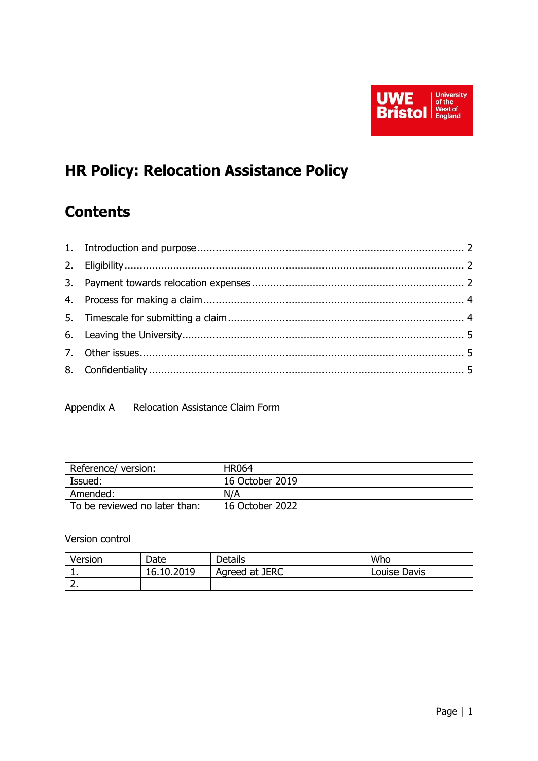

# **HR Policy: Relocation Assistance Policy**

## **Contents**

Appendix A Relocation Assistance Claim Form

| Reference/version:            | <b>HR064</b>    |
|-------------------------------|-----------------|
| Issued:                       | 16 October 2019 |
| Amended:                      | N/A             |
| To be reviewed no later than: | 16 October 2022 |

Version control

| Version | Date       | <b>Details</b> | Who          |
|---------|------------|----------------|--------------|
| . .     | 16.10.2019 | Agreed at JERC | Louise Davis |
|         |            |                |              |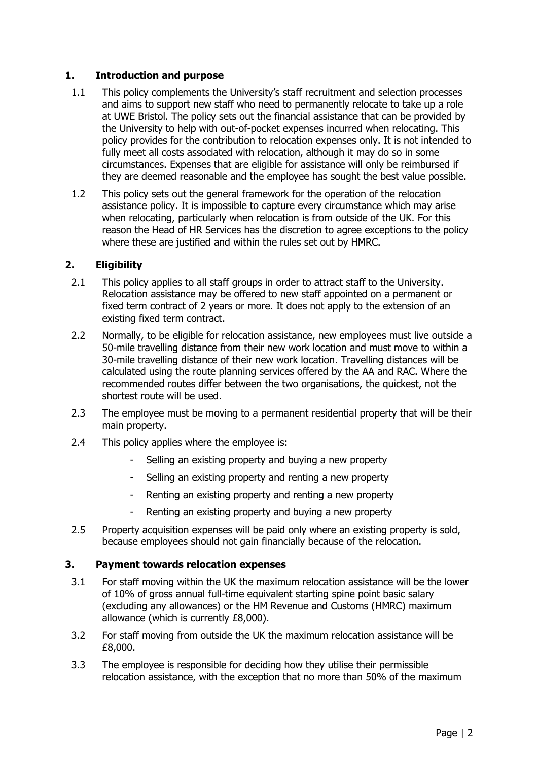#### <span id="page-1-0"></span>**1. Introduction and purpose**

- 1.1 This policy complements the University's staff recruitment and selection processes and aims to support new staff who need to permanently relocate to take up a role at UWE Bristol. The policy sets out the financial assistance that can be provided by the University to help with out-of-pocket expenses incurred when relocating. This policy provides for the contribution to relocation expenses only. It is not intended to fully meet all costs associated with relocation, although it may do so in some circumstances. Expenses that are eligible for assistance will only be reimbursed if they are deemed reasonable and the employee has sought the best value possible.
- 1.2 This policy sets out the general framework for the operation of the relocation assistance policy. It is impossible to capture every circumstance which may arise when relocating, particularly when relocation is from outside of the UK. For this reason the Head of HR Services has the discretion to agree exceptions to the policy where these are justified and within the rules set out by HMRC.

#### <span id="page-1-1"></span>**2. Eligibility**

- 2.1 This policy applies to all staff groups in order to attract staff to the University. Relocation assistance may be offered to new staff appointed on a permanent or fixed term contract of 2 years or more. It does not apply to the extension of an existing fixed term contract.
- 2.2 Normally, to be eligible for relocation assistance, new employees must live outside a 50-mile travelling distance from their new work location and must move to within a 30-mile travelling distance of their new work location. Travelling distances will be calculated using the route planning services offered by the AA and RAC. Where the recommended routes differ between the two organisations, the quickest, not the shortest route will be used.
- 2.3 The employee must be moving to a permanent residential property that will be their main property.
- 2.4 This policy applies where the employee is:
	- Selling an existing property and buying a new property
	- Selling an existing property and renting a new property
	- Renting an existing property and renting a new property
	- Renting an existing property and buying a new property
- 2.5 Property acquisition expenses will be paid only where an existing property is sold, because employees should not gain financially because of the relocation.

#### <span id="page-1-2"></span>**3. Payment towards relocation expenses**

- 3.1 For staff moving within the UK the maximum relocation assistance will be the lower of 10% of gross annual full-time equivalent starting spine point basic salary (excluding any allowances) or the HM Revenue and Customs (HMRC) maximum allowance (which is currently £8,000).
- 3.2 For staff moving from outside the UK the maximum relocation assistance will be £8,000.
- 3.3 The employee is responsible for deciding how they utilise their permissible relocation assistance, with the exception that no more than 50% of the maximum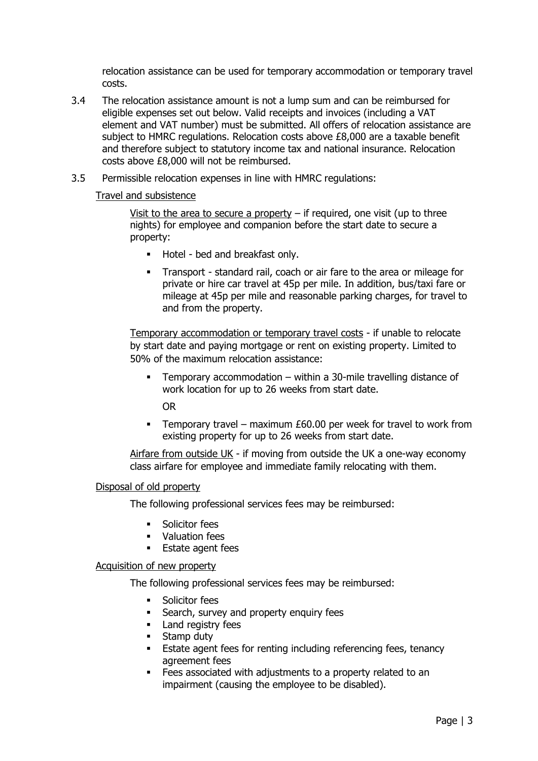relocation assistance can be used for temporary accommodation or temporary travel costs.

- 3.4 The relocation assistance amount is not a lump sum and can be reimbursed for eligible expenses set out below. Valid receipts and invoices (including a VAT element and VAT number) must be submitted. All offers of relocation assistance are subject to HMRC regulations. Relocation costs above £8,000 are a taxable benefit and therefore subject to statutory income tax and national insurance. Relocation costs above £8,000 will not be reimbursed.
- 3.5 Permissible relocation expenses in line with HMRC regulations:

#### Travel and subsistence

Visit to the area to secure a property  $-$  if required, one visit (up to three nights) for employee and companion before the start date to secure a property:

- Hotel bed and breakfast only.
- Transport standard rail, coach or air fare to the area or mileage for private or hire car travel at 45p per mile. In addition, bus/taxi fare or mileage at 45p per mile and reasonable parking charges, for travel to and from the property.

Temporary accommodation or temporary travel costs - if unable to relocate by start date and paying mortgage or rent on existing property. Limited to 50% of the maximum relocation assistance:

Temporary accommodation – within a 30-mile travelling distance of work location for up to 26 weeks from start date.

OR

**EXECT** Temporary travel – maximum £60.00 per week for travel to work from existing property for up to 26 weeks from start date.

Airfare from outside UK - if moving from outside the UK a one-way economy class airfare for employee and immediate family relocating with them.

#### Disposal of old property

The following professional services fees may be reimbursed:

- Solicitor fees
- **Valuation fees**
- **Estate agent fees**

#### Acquisition of new property

The following professional services fees may be reimbursed:

- Solicitor fees
- **EXEC** Search, survey and property enquiry fees
- **EXEC** Land registry fees
- Stamp duty
- **Estate agent fees for renting including referencing fees, tenancy** agreement fees
- **EXECO** Fees associated with adjustments to a property related to an impairment (causing the employee to be disabled).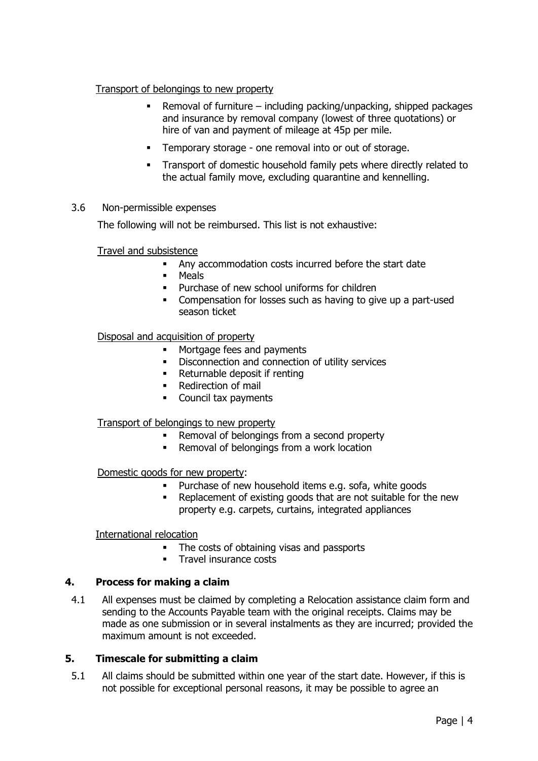#### Transport of belongings to new property

- **EXECTE FIRE 2018** Removal of furniture including packing/unpacking, shipped packages and insurance by removal company (lowest of three quotations) or hire of van and payment of mileage at 45p per mile.
- Temporary storage one removal into or out of storage.
- Transport of domestic household family pets where directly related to the actual family move, excluding quarantine and kennelling.

#### 3.6 Non-permissible expenses

The following will not be reimbursed. This list is not exhaustive:

#### Travel and subsistence

- Any accommodation costs incurred before the start date
- Meals
- Purchase of new school uniforms for children
- **Compensation for losses such as having to give up a part-used** season ticket

#### Disposal and acquisition of property

- **■** Mortgage fees and payments
- Disconnection and connection of utility services
- Returnable deposit if renting
- Redirection of mail
- Council tax payments

#### Transport of belongings to new property

- Removal of belongings from a second property
- Removal of belongings from a work location

#### Domestic goods for new property:

- Purchase of new household items e.g. sofa, white goods
- Replacement of existing goods that are not suitable for the new property e.g. carpets, curtains, integrated appliances

#### International relocation

- The costs of obtaining visas and passports
- **•** Travel insurance costs

#### <span id="page-3-0"></span>**4. Process for making a claim**

4.1 All expenses must be claimed by completing a Relocation assistance claim form and sending to the Accounts Payable team with the original receipts. Claims may be made as one submission or in several instalments as they are incurred; provided the maximum amount is not exceeded.

#### <span id="page-3-1"></span>**5. Timescale for submitting a claim**

5.1 All claims should be submitted within one year of the start date. However, if this is not possible for exceptional personal reasons, it may be possible to agree an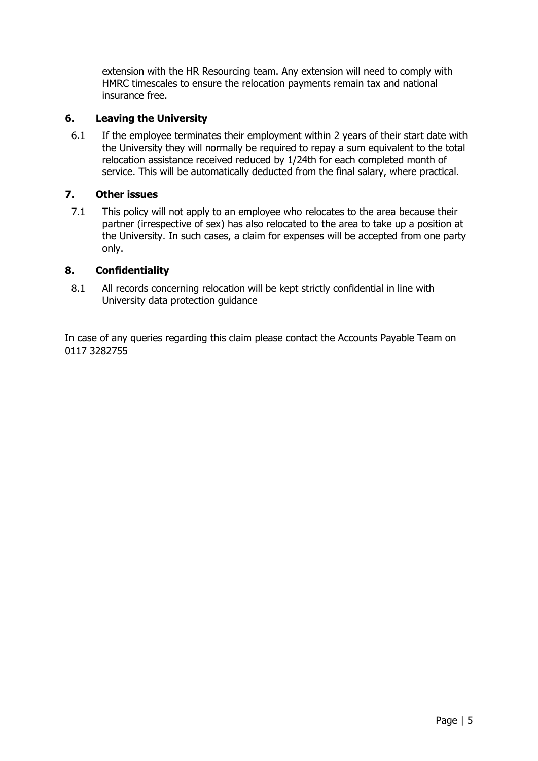extension with the HR Resourcing team. Any extension will need to comply with HMRC timescales to ensure the relocation payments remain tax and national insurance free.

#### <span id="page-4-0"></span>**6. Leaving the University**

6.1 If the employee terminates their employment within 2 years of their start date with the University they will normally be required to repay a sum equivalent to the total relocation assistance received reduced by 1/24th for each completed month of service. This will be automatically deducted from the final salary, where practical.

#### <span id="page-4-1"></span>**7. Other issues**

7.1 This policy will not apply to an employee who relocates to the area because their partner (irrespective of sex) has also relocated to the area to take up a position at the University. In such cases, a claim for expenses will be accepted from one party only.

#### <span id="page-4-2"></span>**8. Confidentiality**

8.1 All records concerning relocation will be kept strictly confidential in line with University data protection guidance

In case of any queries regarding this claim please contact the Accounts Payable Team on 0117 3282755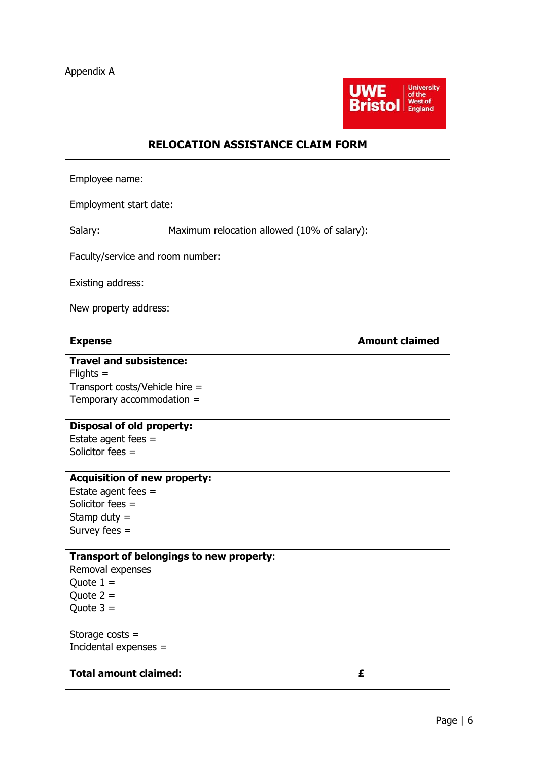

### **RELOCATION ASSISTANCE CLAIM FORM**

| Employee name:                                          |                       |  |  |  |
|---------------------------------------------------------|-----------------------|--|--|--|
| Employment start date:                                  |                       |  |  |  |
| Salary:<br>Maximum relocation allowed (10% of salary):  |                       |  |  |  |
| Faculty/service and room number:                        |                       |  |  |  |
| Existing address:                                       |                       |  |  |  |
| New property address:                                   |                       |  |  |  |
| <b>Expense</b>                                          | <b>Amount claimed</b> |  |  |  |
| <b>Travel and subsistence:</b><br>$F_{\text{lights}} =$ |                       |  |  |  |
| Transport costs/Vehicle hire =                          |                       |  |  |  |
| Temporary accommodation $=$                             |                       |  |  |  |
| <b>Disposal of old property:</b>                        |                       |  |  |  |
| Estate agent fees $=$<br>Solicitor fees =               |                       |  |  |  |
|                                                         |                       |  |  |  |
| <b>Acquisition of new property:</b>                     |                       |  |  |  |
| Estate agent fees $=$                                   |                       |  |  |  |
| Solicitor fees =                                        |                       |  |  |  |
| Stamp duty $=$<br>Survey fees $=$                       |                       |  |  |  |
|                                                         |                       |  |  |  |
| Transport of belongings to new property:                |                       |  |  |  |
| Removal expenses                                        |                       |  |  |  |
| Quote $1 =$                                             |                       |  |  |  |
| Quote $2 =$<br>Quote $3 =$                              |                       |  |  |  |
|                                                         |                       |  |  |  |
| Storage $costs =$                                       |                       |  |  |  |
| Incidental expenses =                                   |                       |  |  |  |
| <b>Total amount claimed:</b>                            | £                     |  |  |  |